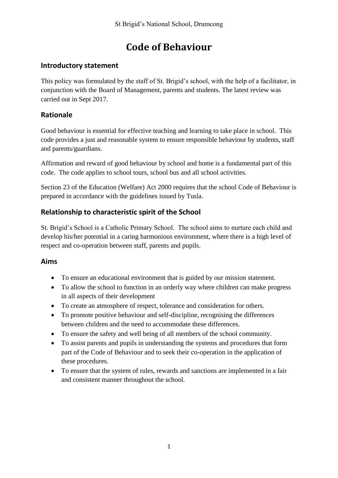# **Code of Behaviour**

## **Introductory statement**

This policy was formulated by the staff of St. Brigid's school, with the help of a facilitator, in conjunction with the Board of Management, parents and students. The latest review was carried out in Sept 2017.

# **Rationale**

Good behaviour is essential for effective teaching and learning to take place in school. This code provides a just and reasonable system to ensure responsible behaviour by students, staff and parents/guardians.

Affirmation and reward of good behaviour by school and home is a fundamental part of this code. The code applies to school tours, school bus and all school activities.

Section 23 of the Education (Welfare) Act 2000 requires that the school Code of Behaviour is prepared in accordance with the guidelines issued by Tusla.

# **Relationship to characteristic spirit of the School**

St. Brigid's School is a Catholic Primary School. The school aims to nurture each child and develop his/her potential in a caring harmonious environment, where there is a high level of respect and co-operation between staff, parents and pupils.

### **Aims**

- To ensure an educational environment that is guided by our mission statement.
- To allow the school to function in an orderly way where children can make progress in all aspects of their development
- To create an atmosphere of respect, tolerance and consideration for others.
- To promote positive behaviour and self-discipline, recognising the differences between children and the need to accommodate these differences.
- To ensure the safety and well being of all members of the school community.
- To assist parents and pupils in understanding the systems and procedures that form part of the Code of Behaviour and to seek their co-operation in the application of these procedures.
- To ensure that the system of rules, rewards and sanctions are implemented in a fair and consistent manner throughout the school.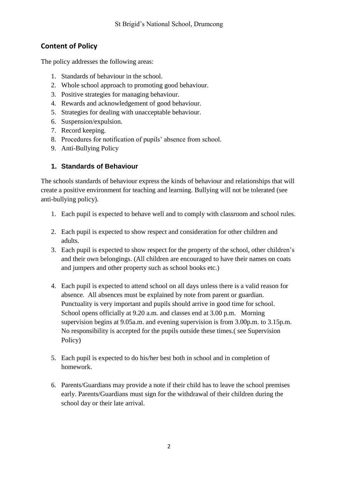# **Content of Policy**

The policy addresses the following areas:

- 1. Standards of behaviour in the school.
- 2. Whole school approach to promoting good behaviour.
- 3. Positive strategies for managing behaviour.
- 4. Rewards and acknowledgement of good behaviour.
- 5. Strategies for dealing with unacceptable behaviour.
- 6. Suspension/expulsion.
- 7. Record keeping.
- 8. Procedures for notification of pupils' absence from school.
- 9. Anti-Bullying Policy

### **1. Standards of Behaviour**

The schools standards of behaviour express the kinds of behaviour and relationships that will create a positive environment for teaching and learning. Bullying will not be tolerated (see anti-bullying policy).

- 1. Each pupil is expected to behave well and to comply with classroom and school rules.
- 2. Each pupil is expected to show respect and consideration for other children and adults.
- 3. Each pupil is expected to show respect for the property of the school, other children's and their own belongings. (All children are encouraged to have their names on coats and jumpers and other property such as school books etc.)
- 4. Each pupil is expected to attend school on all days unless there is a valid reason for absence. All absences must be explained by note from parent or guardian. Punctuality is very important and pupils should arrive in good time for school. School opens officially at 9.20 a.m. and classes end at 3.00 p.m. Morning supervision begins at 9.05a.m. and evening supervision is from 3.00p.m. to 3.15p.m. No responsibility is accepted for the pupils outside these times.( see Supervision Policy)
- 5. Each pupil is expected to do his/her best both in school and in completion of homework.
- 6. Parents/Guardians may provide a note if their child has to leave the school premises early. Parents/Guardians must sign for the withdrawal of their children during the school day or their late arrival.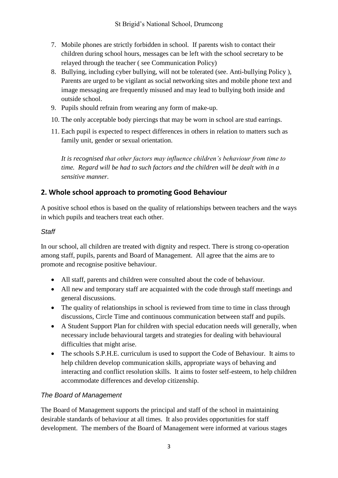- 7. Mobile phones are strictly forbidden in school. If parents wish to contact their children during school hours, messages can be left with the school secretary to be relayed through the teacher ( see Communication Policy)
- 8. Bullying, including cyber bullying, will not be tolerated (see. Anti-bullying Policy ), Parents are urged to be vigilant as social networking sites and mobile phone text and image messaging are frequently misused and may lead to bullying both inside and outside school.
- 9. Pupils should refrain from wearing any form of make-up.
- 10. The only acceptable body piercings that may be worn in school are stud earrings.
- 11. Each pupil is expected to respect differences in others in relation to matters such as family unit, gender or sexual orientation.

*It is recognised that other factors may influence children's behaviour from time to time. Regard will be had to such factors and the children will be dealt with in a sensitive manner.*

# **2. Whole school approach to promoting Good Behaviour**

A positive school ethos is based on the quality of relationships between teachers and the ways in which pupils and teachers treat each other.

### *Staff*

In our school, all children are treated with dignity and respect. There is strong co-operation among staff, pupils, parents and Board of Management. All agree that the aims are to promote and recognise positive behaviour.

- All staff, parents and children were consulted about the code of behaviour.
- All new and temporary staff are acquainted with the code through staff meetings and general discussions.
- The quality of relationships in school is reviewed from time to time in class through discussions, Circle Time and continuous communication between staff and pupils.
- A Student Support Plan for children with special education needs will generally, when necessary include behavioural targets and strategies for dealing with behavioural difficulties that might arise.
- The schools S.P.H.E. curriculum is used to support the Code of Behaviour. It aims to help children develop communication skills, appropriate ways of behaving and interacting and conflict resolution skills. It aims to foster self-esteem, to help children accommodate differences and develop citizenship.

# *The Board of Management*

The Board of Management supports the principal and staff of the school in maintaining desirable standards of behaviour at all times. It also provides opportunities for staff development. The members of the Board of Management were informed at various stages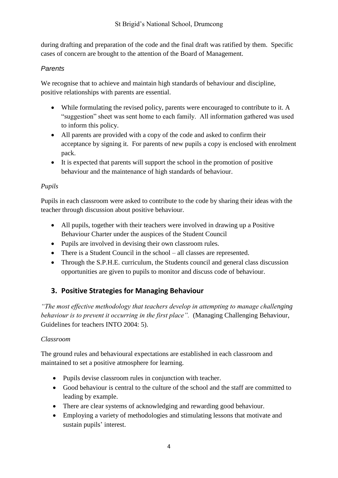during drafting and preparation of the code and the final draft was ratified by them. Specific cases of concern are brought to the attention of the Board of Management.

### *Parents*

We recognise that to achieve and maintain high standards of behaviour and discipline, positive relationships with parents are essential.

- While formulating the revised policy, parents were encouraged to contribute to it. A "suggestion" sheet was sent home to each family. All information gathered was used to inform this policy.
- All parents are provided with a copy of the code and asked to confirm their acceptance by signing it. For parents of new pupils a copy is enclosed with enrolment pack.
- It is expected that parents will support the school in the promotion of positive behaviour and the maintenance of high standards of behaviour.

### *Pupils*

Pupils in each classroom were asked to contribute to the code by sharing their ideas with the teacher through discussion about positive behaviour.

- All pupils, together with their teachers were involved in drawing up a Positive Behaviour Charter under the auspices of the Student Council
- Pupils are involved in devising their own classroom rules.
- There is a Student Council in the school all classes are represented.
- Through the S.P.H.E. curriculum, the Students council and general class discussion opportunities are given to pupils to monitor and discuss code of behaviour.

# **3. Positive Strategies for Managing Behaviour**

*"The most effective methodology that teachers develop in attempting to manage challenging behaviour is to prevent it occurring in the first place".* (Managing Challenging Behaviour, Guidelines for teachers INTO 2004: 5).

### *Classroom*

The ground rules and behavioural expectations are established in each classroom and maintained to set a positive atmosphere for learning.

- Pupils devise classroom rules in conjunction with teacher.
- Good behaviour is central to the culture of the school and the staff are committed to leading by example.
- There are clear systems of acknowledging and rewarding good behaviour.
- Employing a variety of methodologies and stimulating lessons that motivate and sustain pupils' interest.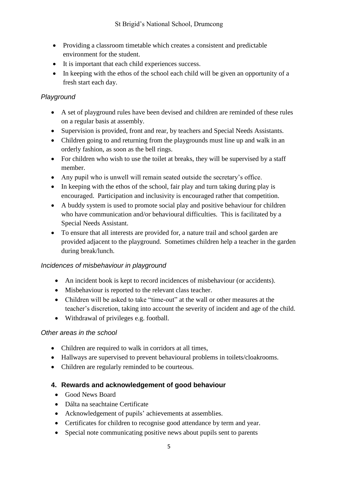- Providing a classroom timetable which creates a consistent and predictable environment for the student.
- It is important that each child experiences success.
- In keeping with the ethos of the school each child will be given an opportunity of a fresh start each day.

# *Playground*

- A set of playground rules have been devised and children are reminded of these rules on a regular basis at assembly.
- Supervision is provided, front and rear, by teachers and Special Needs Assistants.
- Children going to and returning from the playgrounds must line up and walk in an orderly fashion, as soon as the bell rings.
- For children who wish to use the toilet at breaks, they will be supervised by a staff member.
- Any pupil who is unwell will remain seated outside the secretary's office.
- In keeping with the ethos of the school, fair play and turn taking during play is encouraged. Participation and inclusivity is encouraged rather that competition.
- A buddy system is used to promote social play and positive behaviour for children who have communication and/or behavioural difficulties. This is facilitated by a Special Needs Assistant.
- To ensure that all interests are provided for, a nature trail and school garden are provided adjacent to the playground. Sometimes children help a teacher in the garden during break/lunch.

# *Incidences of misbehaviour in playground*

- An incident book is kept to record incidences of misbehaviour (or accidents).
- Misbehaviour is reported to the relevant class teacher.
- Children will be asked to take "time-out" at the wall or other measures at the teacher's discretion, taking into account the severity of incident and age of the child.
- Withdrawal of privileges e.g. football.

### *Other areas in the school*

- Children are required to walk in corridors at all times,
- Hallways are supervised to prevent behavioural problems in toilets/cloakrooms.
- Children are regularly reminded to be courteous.

# **4. Rewards and acknowledgement of good behaviour**

- Good News Board
- Dálta na seachtaine Certificate
- Acknowledgement of pupils' achievements at assemblies.
- Certificates for children to recognise good attendance by term and year.
- Special note communicating positive news about pupils sent to parents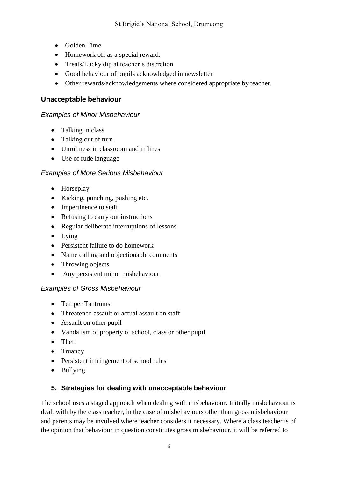- Golden Time.
- Homework off as a special reward.
- Treats/Lucky dip at teacher's discretion
- Good behaviour of pupils acknowledged in newsletter
- Other rewards/acknowledgements where considered appropriate by teacher.

## **Unacceptable behaviour**

### *Examples of Minor Misbehaviour*

- Talking in class
- Talking out of turn
- Unruliness in classroom and in lines
- Use of rude language

### *Examples of More Serious Misbehaviour*

- Horseplay
- Kicking, punching, pushing etc.
- Impertinence to staff
- Refusing to carry out instructions
- Regular deliberate interruptions of lessons
- Lying
- Persistent failure to do homework
- Name calling and objectionable comments
- Throwing objects
- Any persistent minor misbehaviour

### *Examples of Gross Misbehaviour*

- Temper Tantrums
- Threatened assault or actual assault on staff
- Assault on other pupil
- Vandalism of property of school, class or other pupil
- Theft
- Truancy
- Persistent infringement of school rules
- Bullying

# **5. Strategies for dealing with unacceptable behaviour**

The school uses a staged approach when dealing with misbehaviour. Initially misbehaviour is dealt with by the class teacher, in the case of misbehaviours other than gross misbehaviour and parents may be involved where teacher considers it necessary. Where a class teacher is of the opinion that behaviour in question constitutes gross misbehaviour, it will be referred to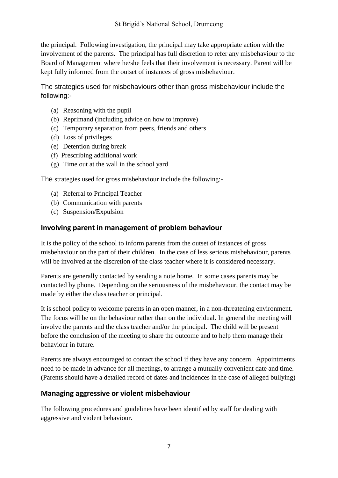the principal. Following investigation, the principal may take appropriate action with the involvement of the parents. The principal has full discretion to refer any misbehaviour to the Board of Management where he/she feels that their involvement is necessary. Parent will be kept fully informed from the outset of instances of gross misbehaviour.

The strategies used for misbehaviours other than gross misbehaviour include the following:-

- (a) Reasoning with the pupil
- (b) Reprimand (including advice on how to improve)
- (c) Temporary separation from peers, friends and others
- (d) Loss of privileges
- (e) Detention during break
- (f) Prescribing additional work
- (g) Time out at the wall in the school yard

The strategies used for gross misbehaviour include the following:-

- (a) Referral to Principal Teacher
- (b) Communication with parents
- (c) Suspension/Expulsion

### **Involving parent in management of problem behaviour**

It is the policy of the school to inform parents from the outset of instances of gross misbehaviour on the part of their children. In the case of less serious misbehaviour, parents will be involved at the discretion of the class teacher where it is considered necessary.

Parents are generally contacted by sending a note home. In some cases parents may be contacted by phone. Depending on the seriousness of the misbehaviour, the contact may be made by either the class teacher or principal.

It is school policy to welcome parents in an open manner, in a non-threatening environment. The focus will be on the behaviour rather than on the individual. In general the meeting will involve the parents and the class teacher and/or the principal. The child will be present before the conclusion of the meeting to share the outcome and to help them manage their behaviour in future.

Parents are always encouraged to contact the school if they have any concern. Appointments need to be made in advance for all meetings, to arrange a mutually convenient date and time. (Parents should have a detailed record of dates and incidences in the case of alleged bullying)

# **Managing aggressive or violent misbehaviour**

The following procedures and guidelines have been identified by staff for dealing with aggressive and violent behaviour.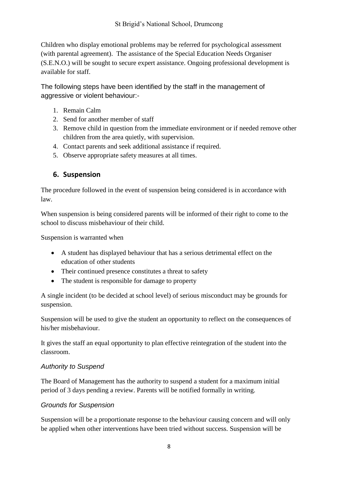Children who display emotional problems may be referred for psychological assessment (with parental agreement). The assistance of the Special Education Needs Organiser (S.E.N.O.) will be sought to secure expert assistance. Ongoing professional development is available for staff.

The following steps have been identified by the staff in the management of aggressive or violent behaviour:-

- 1. Remain Calm
- 2. Send for another member of staff
- 3. Remove child in question from the immediate environment or if needed remove other children from the area quietly, with supervision.
- 4. Contact parents and seek additional assistance if required.
- 5. Observe appropriate safety measures at all times.

# **6. Suspension**

The procedure followed in the event of suspension being considered is in accordance with law.

When suspension is being considered parents will be informed of their right to come to the school to discuss misbehaviour of their child.

Suspension is warranted when

- A student has displayed behaviour that has a serious detrimental effect on the education of other students
- Their continued presence constitutes a threat to safety
- The student is responsible for damage to property

A single incident (to be decided at school level) of serious misconduct may be grounds for suspension.

Suspension will be used to give the student an opportunity to reflect on the consequences of his/her misbehaviour.

It gives the staff an equal opportunity to plan effective reintegration of the student into the classroom.

# *Authority to Suspend*

The Board of Management has the authority to suspend a student for a maximum initial period of 3 days pending a review. Parents will be notified formally in writing.

# *Grounds for Suspension*

Suspension will be a proportionate response to the behaviour causing concern and will only be applied when other interventions have been tried without success. Suspension will be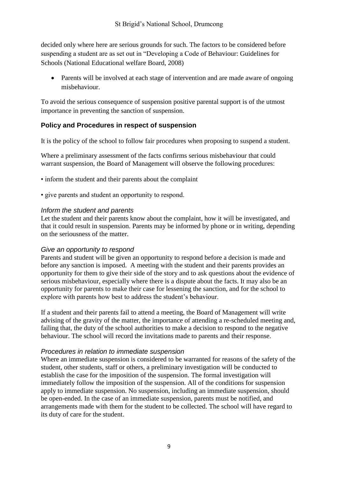decided only where here are serious grounds for such. The factors to be considered before suspending a student are as set out in "Developing a Code of Behaviour: Guidelines for Schools (National Educational welfare Board, 2008)

• Parents will be involved at each stage of intervention and are made aware of ongoing misbehaviour.

To avoid the serious consequence of suspension positive parental support is of the utmost importance in preventing the sanction of suspension.

### **Policy and Procedures in respect of suspension**

It is the policy of the school to follow fair procedures when proposing to suspend a student.

Where a preliminary assessment of the facts confirms serious misbehaviour that could warrant suspension, the Board of Management will observe the following procedures:

• inform the student and their parents about the complaint

• give parents and student an opportunity to respond.

#### *Inform the student and parents*

Let the student and their parents know about the complaint, how it will be investigated, and that it could result in suspension. Parents may be informed by phone or in writing, depending on the seriousness of the matter.

#### *Give an opportunity to respond*

Parents and student will be given an opportunity to respond before a decision is made and before any sanction is imposed. A meeting with the student and their parents provides an opportunity for them to give their side of the story and to ask questions about the evidence of serious misbehaviour, especially where there is a dispute about the facts. It may also be an opportunity for parents to make their case for lessening the sanction, and for the school to explore with parents how best to address the student's behaviour.

If a student and their parents fail to attend a meeting, the Board of Management will write advising of the gravity of the matter, the importance of attending a re-scheduled meeting and, failing that, the duty of the school authorities to make a decision to respond to the negative behaviour. The school will record the invitations made to parents and their response.

#### *Procedures in relation to immediate suspension*

Where an immediate suspension is considered to be warranted for reasons of the safety of the student, other students, staff or others, a preliminary investigation will be conducted to establish the case for the imposition of the suspension. The formal investigation will immediately follow the imposition of the suspension. All of the conditions for suspension apply to immediate suspension. No suspension, including an immediate suspension, should be open-ended. In the case of an immediate suspension, parents must be notified, and arrangements made with them for the student to be collected. The school will have regard to its duty of care for the student.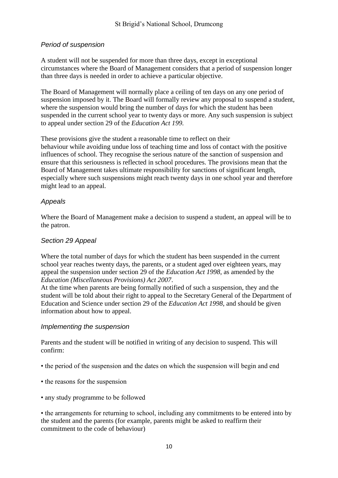### *Period of suspension*

A student will not be suspended for more than three days, except in exceptional circumstances where the Board of Management considers that a period of suspension longer than three days is needed in order to achieve a particular objective.

The Board of Management will normally place a ceiling of ten days on any one period of suspension imposed by it. The Board will formally review any proposal to suspend a student, where the suspension would bring the number of days for which the student has been suspended in the current school year to twenty days or more. Any such suspension is subject to appeal under section 29 of the *Education Act 199.*

These provisions give the student a reasonable time to reflect on their behaviour while avoiding undue loss of teaching time and loss of contact with the positive influences of school. They recognise the serious nature of the sanction of suspension and ensure that this seriousness is reflected in school procedures. The provisions mean that the Board of Management takes ultimate responsibility for sanctions of significant length, especially where such suspensions might reach twenty days in one school year and therefore might lead to an appeal.

### *Appeals*

Where the Board of Management make a decision to suspend a student, an appeal will be to the patron.

#### *Section 29 Appeal*

Where the total number of days for which the student has been suspended in the current school year reaches twenty days, the parents, or a student aged over eighteen years, may appeal the suspension under section 29 of the *Education Act 1998*, as amended by the *Education (Miscellaneous Provisions) Act 2007*.

At the time when parents are being formally notified of such a suspension, they and the student will be told about their right to appeal to the Secretary General of the Department of Education and Science under section 29 of the *Education Act 1998*, and should be given information about how to appeal.

#### *Implementing the suspension*

Parents and the student will be notified in writing of any decision to suspend. This will confirm:

- the period of the suspension and the dates on which the suspension will begin and end
- the reasons for the suspension
- any study programme to be followed

• the arrangements for returning to school, including any commitments to be entered into by the student and the parents (for example, parents might be asked to reaffirm their commitment to the code of behaviour)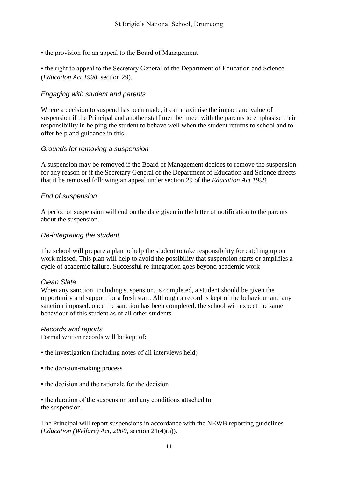• the provision for an appeal to the Board of Management

• the right to appeal to the Secretary General of the Department of Education and Science (*Education Act 1998*, section 29).

### *Engaging with student and parents*

Where a decision to suspend has been made, it can maximise the impact and value of suspension if the Principal and another staff member meet with the parents to emphasise their responsibility in helping the student to behave well when the student returns to school and to offer help and guidance in this.

### *Grounds for removing a suspension*

A suspension may be removed if the Board of Management decides to remove the suspension for any reason or if the Secretary General of the Department of Education and Science directs that it be removed following an appeal under section 29 of the *Education Act 1998*.

### *End of suspension*

A period of suspension will end on the date given in the letter of notification to the parents about the suspension.

#### *Re-integrating the student*

The school will prepare a plan to help the student to take responsibility for catching up on work missed. This plan will help to avoid the possibility that suspension starts or amplifies a cycle of academic failure. Successful re-integration goes beyond academic work

#### *Clean Slate*

When any sanction, including suspension, is completed, a student should be given the opportunity and support for a fresh start. Although a record is kept of the behaviour and any sanction imposed, once the sanction has been completed, the school will expect the same behaviour of this student as of all other students.

#### *Records and reports*

Formal written records will be kept of:

- the investigation (including notes of all interviews held)
- the decision-making process
- the decision and the rationale for the decision

• the duration of the suspension and any conditions attached to the suspension.

The Principal will report suspensions in accordance with the NEWB reporting guidelines (*Education (Welfare) Act, 2000*, section 21(4)(a)).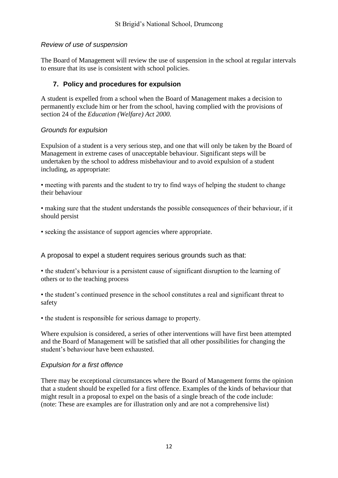### *Review of use of suspension*

The Board of Management will review the use of suspension in the school at regular intervals to ensure that its use is consistent with school policies.

### **7. Policy and procedures for expulsion**

A student is expelled from a school when the Board of Management makes a decision to permanently exclude him or her from the school, having complied with the provisions of section 24 of the *Education (Welfare) Act 2000.*

### *Grounds for expulsion*

Expulsion of a student is a very serious step, and one that will only be taken by the Board of Management in extreme cases of unacceptable behaviour. Significant steps will be undertaken by the school to address misbehaviour and to avoid expulsion of a student including, as appropriate:

• meeting with parents and the student to try to find ways of helping the student to change their behaviour

• making sure that the student understands the possible consequences of their behaviour, if it should persist

• seeking the assistance of support agencies where appropriate.**2**

A proposal to expel a student requires serious grounds such as that:

• the student's behaviour is a persistent cause of significant disruption to the learning of others or to the teaching process

• the student's continued presence in the school constitutes a real and significant threat to safety

• the student is responsible for serious damage to property.

Where expulsion is considered, a series of other interventions will have first been attempted and the Board of Management will be satisfied that all other possibilities for changing the student's behaviour have been exhausted.

### *Expulsion for a first offence*

There may be exceptional circumstances where the Board of Management forms the opinion that a student should be expelled for a first offence. Examples of the kinds of behaviour that might result in a proposal to expel on the basis of a single breach of the code include: (note: These are examples are for illustration only and are not a comprehensive list)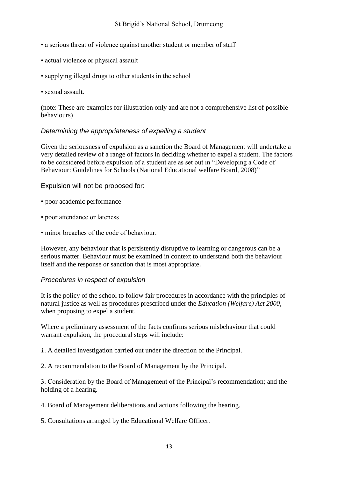- a serious threat of violence against another student or member of staff
- actual violence or physical assault
- supplying illegal drugs to other students in the school
- sexual assault.

(note: These are examples for illustration only and are not a comprehensive list of possible behaviours)

#### *Determining the appropriateness of expelling a student*

Given the seriousness of expulsion as a sanction the Board of Management will undertake a very detailed review of a range of factors in deciding whether to expel a student. The factors to be considered before expulsion of a student are as set out in "Developing a Code of Behaviour: Guidelines for Schools (National Educational welfare Board, 2008)"

Expulsion will not be proposed for:

- poor academic performance
- poor attendance or lateness
- minor breaches of the code of behaviour.

However, any behaviour that is persistently disruptive to learning or dangerous can be a serious matter. Behaviour must be examined in context to understand both the behaviour itself and the response or sanction that is most appropriate.

#### *Procedures in respect of expulsion*

It is the policy of the school to follow fair procedures in accordance with the principles of natural justice as well as procedures prescribed under the *Education (Welfare) Act 2000*, when proposing to expel a student.

Where a preliminary assessment of the facts confirms serious misbehaviour that could warrant expulsion, the procedural steps will include:

*1*. A detailed investigation carried out under the direction of the Principal.

2. A recommendation to the Board of Management by the Principal.

3. Consideration by the Board of Management of the Principal's recommendation; and the holding of a hearing.

4. Board of Management deliberations and actions following the hearing.

5. Consultations arranged by the Educational Welfare Officer.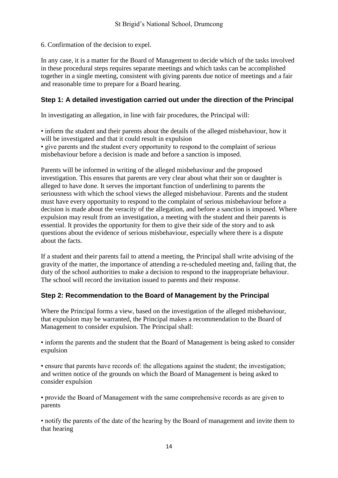6. Confirmation of the decision to expel.

In any case, it is a matter for the Board of Management to decide which of the tasks involved in these procedural steps requires separate meetings and which tasks can be accomplished together in a single meeting, consistent with giving parents due notice of meetings and a fair and reasonable time to prepare for a Board hearing.

### **Step 1: A detailed investigation carried out under the direction of the Principal**

In investigating an allegation, in line with fair procedures, the Principal will:

• inform the student and their parents about the details of the alleged misbehaviour, how it will be investigated and that it could result in expulsion • give parents and the student every opportunity to respond to the complaint of serious misbehaviour before a decision is made and before a sanction is imposed.

Parents will be informed in writing of the alleged misbehaviour and the proposed investigation. This ensures that parents are very clear about what their son or daughter is alleged to have done. It serves the important function of underlining to parents the seriousness with which the school views the alleged misbehaviour. Parents and the student must have every opportunity to respond to the complaint of serious misbehaviour before a decision is made about the veracity of the allegation, and before a sanction is imposed. Where expulsion may result from an investigation, a meeting with the student and their parents is essential. It provides the opportunity for them to give their side of the story and to ask questions about the evidence of serious misbehaviour, especially where there is a dispute about the facts.

If a student and their parents fail to attend a meeting, the Principal shall write advising of the gravity of the matter, the importance of attending a re-scheduled meeting and, failing that, the duty of the school authorities to make a decision to respond to the inappropriate behaviour. The school will record the invitation issued to parents and their response.

# **Step 2: Recommendation to the Board of Management by the Principal**

Where the Principal forms a view, based on the investigation of the alleged misbehaviour, that expulsion may be warranted, the Principal makes a recommendation to the Board of Management to consider expulsion. The Principal shall:

• inform the parents and the student that the Board of Management is being asked to consider expulsion

• ensure that parents have records of: the allegations against the student; the investigation; and written notice of the grounds on which the Board of Management is being asked to consider expulsion

• provide the Board of Management with the same comprehensive records as are given to parents

• notify the parents of the date of the hearing by the Board of management and invite them to that hearing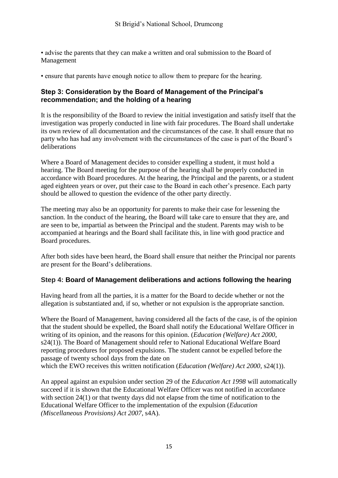• advise the parents that they can make a written and oral submission to the Board of Management

• ensure that parents have enough notice to allow them to prepare for the hearing.

### **Step 3: Consideration by the Board of Management of the Principal's recommendation; and the holding of a hearing**

It is the responsibility of the Board to review the initial investigation and satisfy itself that the investigation was properly conducted in line with fair procedures. The Board shall undertake its own review of all documentation and the circumstances of the case. It shall ensure that no party who has had any involvement with the circumstances of the case is part of the Board's deliberations

Where a Board of Management decides to consider expelling a student, it must hold a hearing. The Board meeting for the purpose of the hearing shall be properly conducted in accordance with Board procedures. At the hearing, the Principal and the parents, or a student aged eighteen years or over, put their case to the Board in each other's presence. Each party should be allowed to question the evidence of the other party directly.

The meeting may also be an opportunity for parents to make their case for lessening the sanction. In the conduct of the hearing, the Board will take care to ensure that they are, and are seen to be, impartial as between the Principal and the student. Parents may wish to be accompanied at hearings and the Board shall facilitate this, in line with good practice and Board procedures.

After both sides have been heard, the Board shall ensure that neither the Principal nor parents are present for the Board's deliberations.

### **Step 4: Board of Management deliberations and actions following the hearing**

Having heard from all the parties, it is a matter for the Board to decide whether or not the allegation is substantiated and, if so, whether or not expulsion is the appropriate sanction.

Where the Board of Management, having considered all the facts of the case, is of the opinion that the student should be expelled, the Board shall notify the Educational Welfare Officer in writing of its opinion, and the reasons for this opinion. (*Education (Welfare) Act 2000*, s24(1)). The Board of Management should refer to National Educational Welfare Board reporting procedures for proposed expulsions. The student cannot be expelled before the passage of twenty school days from the date on

which the EWO receives this written notification (*Education (Welfare) Act 2000*, s24(1)).

An appeal against an expulsion under section 29 of the *Education Act 1998* will automatically succeed if it is shown that the Educational Welfare Officer was not notified in accordance with section 24(1) or that twenty days did not elapse from the time of notification to the Educational Welfare Officer to the implementation of the expulsion (*Education (Miscellaneous Provisions) Act 2007*, s4A).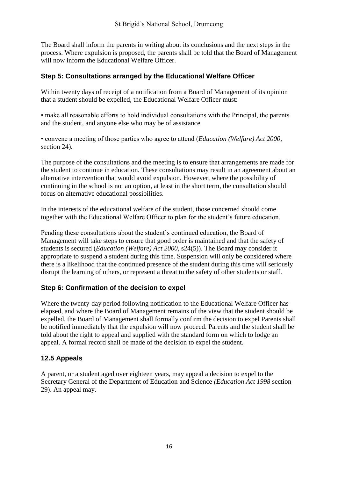The Board shall inform the parents in writing about its conclusions and the next steps in the process. Where expulsion is proposed, the parents shall be told that the Board of Management will now inform the Educational Welfare Officer

### **Step 5: Consultations arranged by the Educational Welfare Officer**

Within twenty days of receipt of a notification from a Board of Management of its opinion that a student should be expelled, the Educational Welfare Officer must:

• make all reasonable efforts to hold individual consultations with the Principal, the parents and the student, and anyone else who may be of assistance

• convene a meeting of those parties who agree to attend (*Education (Welfare) Act 2000*, section 24).

The purpose of the consultations and the meeting is to ensure that arrangements are made for the student to continue in education. These consultations may result in an agreement about an alternative intervention that would avoid expulsion. However, where the possibility of continuing in the school is not an option, at least in the short term, the consultation should focus on alternative educational possibilities.

In the interests of the educational welfare of the student, those concerned should come together with the Educational Welfare Officer to plan for the student's future education.

Pending these consultations about the student's continued education, the Board of Management will take steps to ensure that good order is maintained and that the safety of students is secured (*Education (Welfare) Act 2000*, s24(5)). The Board may consider it appropriate to suspend a student during this time. Suspension will only be considered where there is a likelihood that the continued presence of the student during this time will seriously disrupt the learning of others, or represent a threat to the safety of other students or staff.

### **Step 6: Confirmation of the decision to expel**

Where the twenty-day period following notification to the Educational Welfare Officer has elapsed, and where the Board of Management remains of the view that the student should be expelled, the Board of Management shall formally confirm the decision to expel Parents shall be notified immediately that the expulsion will now proceed. Parents and the student shall be told about the right to appeal and supplied with the standard form on which to lodge an appeal. A formal record shall be made of the decision to expel the student.

# **12.5 Appeals**

A parent, or a student aged over eighteen years, may appeal a decision to expel to the Secretary General of the Department of Education and Science *(Education Act 1998* section 29). An appeal may.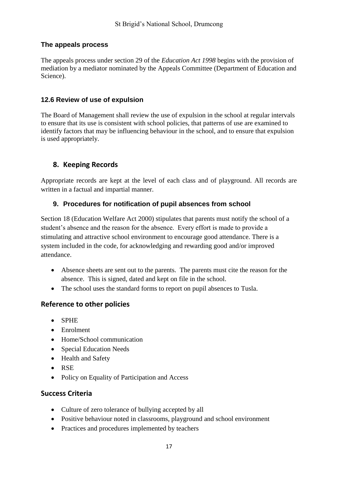### **The appeals process**

The appeals process under section 29 of the *Education Act 1998* begins with the provision of mediation by a mediator nominated by the Appeals Committee (Department of Education and Science).

### **12.6 Review of use of expulsion**

The Board of Management shall review the use of expulsion in the school at regular intervals to ensure that its use is consistent with school policies, that patterns of use are examined to identify factors that may be influencing behaviour in the school, and to ensure that expulsion is used appropriately.

# **8. Keeping Records**

Appropriate records are kept at the level of each class and of playground. All records are written in a factual and impartial manner.

# **9. Procedures for notification of pupil absences from school**

Section 18 (Education Welfare Act 2000) stipulates that parents must notify the school of a student's absence and the reason for the absence. Every effort is made to provide a stimulating and attractive school environment to encourage good attendance. There is a system included in the code, for acknowledging and rewarding good and/or improved attendance.

- Absence sheets are sent out to the parents. The parents must cite the reason for the absence. This is signed, dated and kept on file in the school.
- The school uses the standard forms to report on pupil absences to Tusla.

# **Reference to other policies**

- SPHE
- Enrolment
- Home/School communication
- Special Education Needs
- Health and Safety
- RSE
- Policy on Equality of Participation and Access

# **Success Criteria**

- Culture of zero tolerance of bullying accepted by all
- Positive behaviour noted in classrooms, playground and school environment
- Practices and procedures implemented by teachers